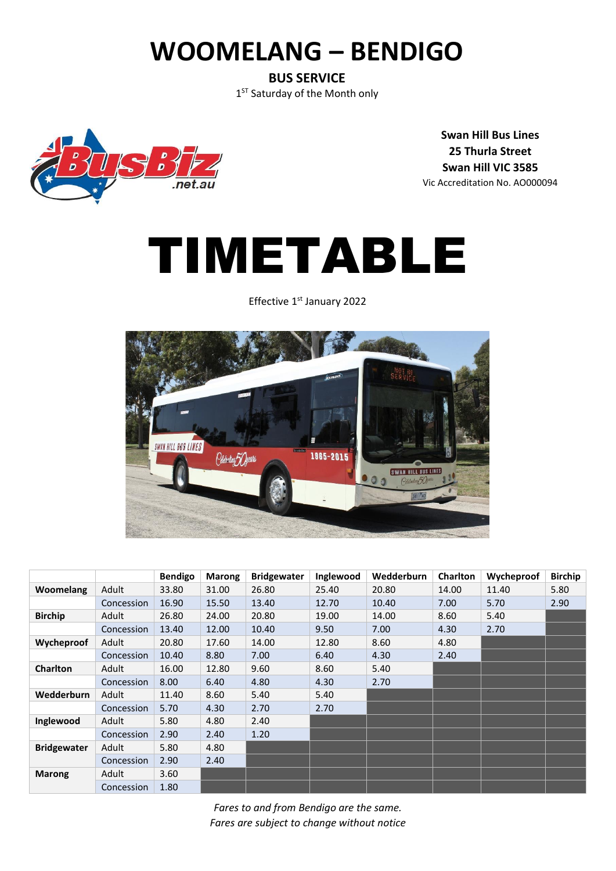# **WOOMELANG – BENDIGO**

**BUS SERVICE** 1<sup>ST</sup> Saturday of the Month only



**Swan Hill Bus Lines 25 Thurla Street Swan Hill VIC 3585** Vic Accreditation No. AO000094

# TIMETABLE

Effective 1<sup>st</sup> January 2022



|                    |            | <b>Bendigo</b> | <b>Marong</b> | <b>Bridgewater</b> | Inglewood | Wedderburn | <b>Charlton</b> | Wycheproof | <b>Birchip</b> |
|--------------------|------------|----------------|---------------|--------------------|-----------|------------|-----------------|------------|----------------|
| Woomelang          | Adult      | 33.80          | 31.00         | 26.80              | 25.40     | 20.80      | 14.00           | 11.40      | 5.80           |
|                    | Concession | 16.90          | 15.50         | 13.40              | 12.70     | 10.40      | 7.00            | 5.70       | 2.90           |
| <b>Birchip</b>     | Adult      | 26.80          | 24.00         | 20.80              | 19.00     | 14.00      | 8.60            | 5.40       |                |
|                    | Concession | 13.40          | 12.00         | 10.40              | 9.50      | 7.00       | 4.30            | 2.70       |                |
| Wycheproof         | Adult      | 20.80          | 17.60         | 14.00              | 12.80     | 8.60       | 4.80            |            |                |
|                    | Concession | 10.40          | 8.80          | 7.00               | 6.40      | 4.30       | 2.40            |            |                |
| <b>Charlton</b>    | Adult      | 16.00          | 12.80         | 9.60               | 8.60      | 5.40       |                 |            |                |
|                    | Concession | 8.00           | 6.40          | 4.80               | 4.30      | 2.70       |                 |            |                |
| Wedderburn         | Adult      | 11.40          | 8.60          | 5.40               | 5.40      |            |                 |            |                |
|                    | Concession | 5.70           | 4.30          | 2.70               | 2.70      |            |                 |            |                |
| Inglewood          | Adult      | 5.80           | 4.80          | 2.40               |           |            |                 |            |                |
|                    | Concession | 2.90           | 2.40          | 1.20               |           |            |                 |            |                |
| <b>Bridgewater</b> | Adult      | 5.80           | 4.80          |                    |           |            |                 |            |                |
|                    | Concession | 2.90           | 2.40          |                    |           |            |                 |            |                |
| <b>Marong</b>      | Adult      | 3.60           |               |                    |           |            |                 |            |                |
|                    | Concession | 1.80           |               |                    |           |            |                 |            |                |

*Fares to and from Bendigo are the same. Fares are subject to change without notice*